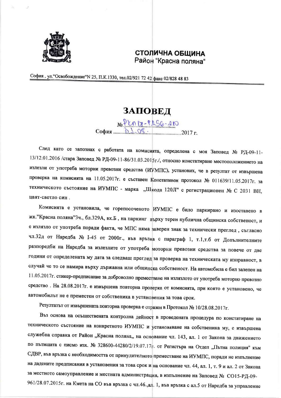

## СТОЛИЧНА ОБЩИНА Район "Красна поляна"

София, ул. "Освобождение "№ 25, П.К.1330, тел.02/921 72 42 факс 02/828 48 83

## ЗАПОВЕД

No PLA 17-PASG-210  $C$ офия  $\frac{1}{2}$ 

След като се запознах с работата на комисията, определена с моя Заповед № РД-09-11-13/12.01.2016 /стара Заповед № РД-09-11-86/31.03.2015г./, относно констатиране местоположението на излезли от употреба моторни превозни средства (ИУМПС), установих, че в резултат от извършена проверка на комисията на 11.05.2017г. е съставен Констативен протокол № 011639/11.05.2017г. за техническото състояние на ИУМПС - марка "Шкода 120Л" с регистрационен № С 2031 ВН, цвят-светло син.

Комисията е установила, че горепосоченото ИУМПС е било паркирано и изоставено в жк. "Красна поляна"Зч., бл.329А, вх.Б, на паркинг върху терен публична общинска собственост, и е излязло от употреба поради факта, че МПС няма заверен знак за технически преглед, съгласно чл.32д от Наредба № 1-45 от 2000г., във връзка с параграф 1, т.1,т.б от Допълнителните разпоредби на Наредба за излезлите от употреба моторни превозни средства за повече от две години от определената му дата за следващ преглед за проверка на техническата му изправност, в случай че то се намира върху държавна или общинска собственост. На автомобила е бил залепен на 11.05.2017г. стикер-предписание за доброволно преместване на излязлото от употреба моторно превозно средство. На 28.08.2017г. е извършена повторна проверка от комисията, при която е установено, че автомобилът не е преместен от собственика в установения за това срок.

Резултатът от извършената повторна проверка е отразен в Протокол № 10/28.08.2017г.

Въз основа на осъществената контролна дейност в проведената процедура по констатиране на техническото състояние на конкретното ИУМПС и установяване на собственика му, е извършена служебна справка от Район "Красна поляна" на основание чл. 143, ал. 1 от Закона за движението по пътищата с писмо изх. № 328600-44280/2/19.07.17г. от Регистъра на Отдел "Пътна полиция" към СДВР, във връзка с необходимостта от принудителното преместване на ИУМПС, поради не изпълнение на дадените предписания в установения за това срок и на основание чл. 44, ал. 1, т. 9 и ал. 2 от Закона за местното самоуправление и местната администрация, в изпълнение на Заповед № СО15-РД-09-961/28.07.2015г. на Кмета на СО във връзка с чл.46.,ал. 1, във връзка с ал.5 от Наредба за управление